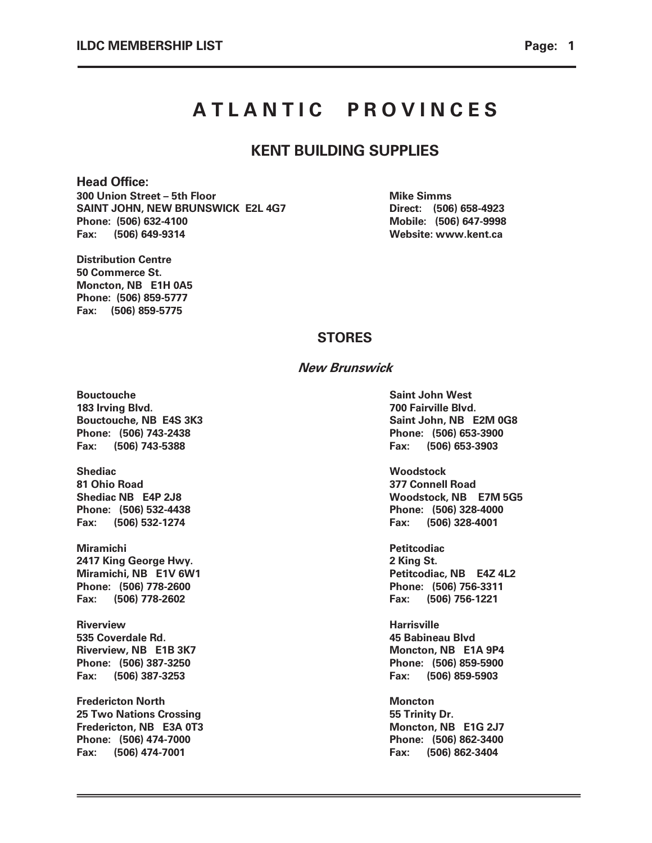# A T L A N T I C PROVINCES

### KENT BUILDING SUPPLIES

#### Head Office:

300 Union Street – 5th Floor Mike Simms SAINT JOHN, NEW BRUNSWICK E2L 4G7 Direct: (506) 658-4923 Phone: (506) 632-4100 Mobile: (506) 647-9998 Fax: (506) 649-9314 Website: www.kent.ca

Distribution Centre 50 Commerce St. Moncton, NB E1H 0A5 Phone: (506) 859-5777 Fax: (506) 859-5775

### **STORES**

### New Brunswick

Bouctouche Saint John West 183 Irving Blvd. 700 Fairville Blvd. Phone: (506) 743-2438 Phone: (506) 653-3900 Fax: (506) 743-5388 Fax: (506) 653-3903

Shediac Woodstock 81 Ohio Road 377 Connell Road Phone: (506) 532-4438 Phone: (506) 328-4000 Fax: (506) 532-1274 Fax: (506) 328-4001

Miramichi Petitcodiac 2417 King George Hwy. 26 and 2 King St. Phone: (506) 778-2600 Phone: (506) 756-3311 Fax: (506) 778-2602 Fax: (506) 756-1221

Riverview Harrisville 535 Coverdale Rd. 45 Babineau Blvd Riverview, NB E1B 3K7 Moncton, NB E1A 9P4 Phone: (506) 387-3250 Phone: (506) 859-5900 Fax: (506) 387-3253 Fax: (506) 859-5903

**Fredericton North Moncton** 25 Two Nations Crossing **1986** Two Nations Crossing **55 Trinity Dr.** Fredericton, NB E3A 0T3 Moncton, NB E1G 2J7 Phone: (506) 474-7000 Phone: (506) 862-3400 Fax: (506) 474-7001 Fax: (506) 862-3404

Bouctouche, NB E4S 3K3 Saint John, NB E2M 0G8

Shediac NB E4P 2J8 Woodstock, NB E7M 5G5

Miramichi, NB E1V 6W1 Petitcodiac, NB E4Z 4L2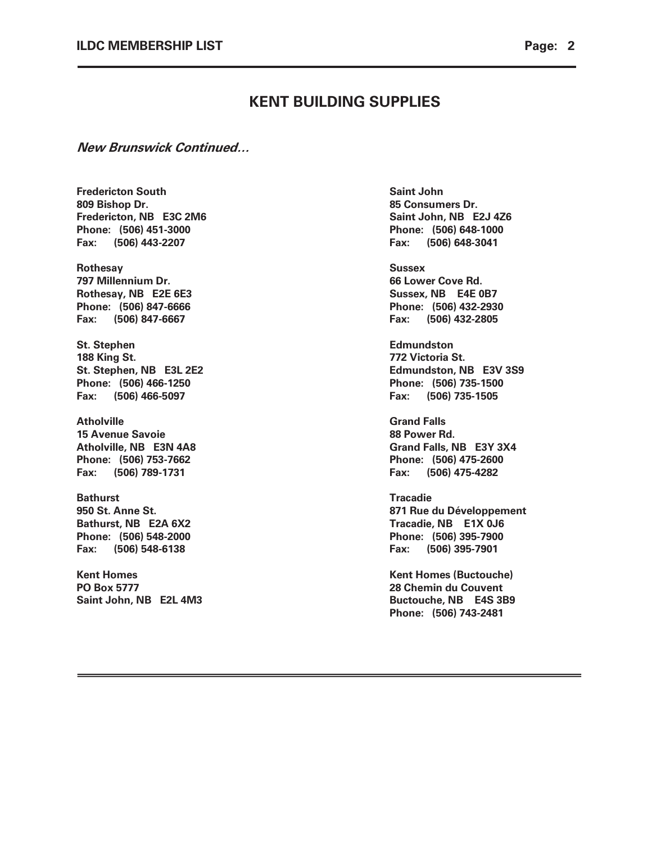### New Brunswick Continued…

**Fredericton South Saint John** Saint John 809 Bishop Dr. 85 Consumers Dr. Fredericton, NB E3C 2M6 Saint John, NB E2J 4Z6 Phone: (506) 451-3000 Phone: (506) 648-1000 Fax: (506) 443-2207 Fax: (506) 648-3041

Rothesay Sussex 797 Millennium Dr. 66 Lower Cove Rd. Rothesay, NB E2E 6E3 Sussex, NB E4E 0B7 Phone: (506) 847-6666 **Phone:** (506) 432-2930 Fax: (506) 847-6667 Fax: (506) 432-2805

St. Stephen **Edmundston** 188 King St. 2008 and 2009 and 2008 and 2009 and 2008 and 2009 and 2009 and 2009 and 2009 and 2009 and 2009 and 2009 and 2009 and 2009 and 2009 and 2009 and 2009 and 2009 and 2009 and 2009 and 2009 and 2009 and 2009 and 20 Phone: (506) 466-1250 Phone: (506) 735-1500 Fax: (506) 466-5097 Fax: (506) 735-1505

Atholville **Grand Falls** 15 Avenue Savoie **88 Power Rd.** Phone: (506) 753-7662 Phone: (506) 475-2600 Fax: (506) 789-1731 Fax: (506) 475-4282

Bathurst **Tracadie** Bathurst, NB E2A 6X2 Tracadie, NB E1X 0J6 Phone: (506) 548-2000 Phone: (506) 395-7900 Fax: (506) 548-6138 Fax: (506) 395-7901

PO Box 5777 28 Chemin du Couvent Saint John, NB E2L 4M3 Buctouche, NB E4S 3B9

St. Stephen, NB E3L 2E2 Edmundston, NB E3V 3S9

Atholville, NB E3N 4A8 Grand Falls, NB E3Y 3X4

950 St. Anne St. 871 Rue du Développement

Kent Homes **Kent Homes** (Buctouche) Phone: (506) 743-2481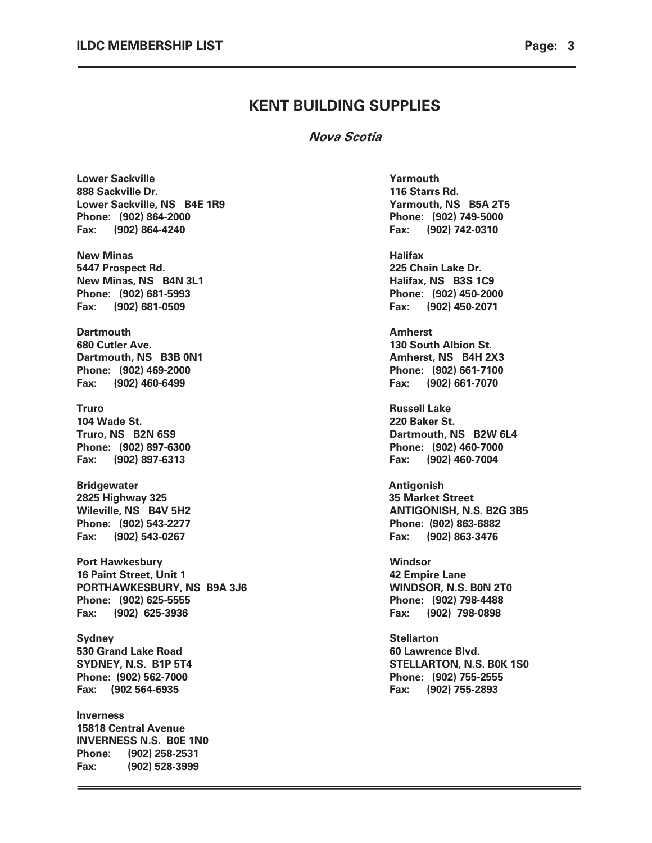Nova Scotia

Lower Sackville Yarmouth National Accounts Assembly Management Accounts Accounts A 888 Sackville Dr. 116 Starrs Rd. Lower Sackville, NS B4E 1R9 Yarmouth, NS B5A 2T5 Phone: (902) 864-2000 Phone: (902) 749-5000 Fax: (902) 864-4240 Fax: (902) 742-0310 New Minas **Halifax** 5447 Prospect Rd. 225 Chain Lake Dr. New Minas, NS B4N 3L1 **Halifax**, NS B3S 1C9 Phone: (902) 681-5993 Phone: (902) 450-2000 Fax: (902) 681-0509 Fax: (902) 450-2071 Dartmouth Amherst 680 Cutler Ave. 130 South Albion St. Dartmouth, NS B3B 0N1 1200 1200 1200 1200 1200 1300 1300 1400 1500 1600 1700 1800 1800 1800 1800 1800 1800 1 Phone: (902) 469-2000 Phone: (902) 661-7100 Fax: (902) 460-6499 Fax: (902) 661-7070 Truro Russell Lake 104 Wade St. 220 Baker St. Truro, NS B2N 6S9 Dartmouth, NS B2W 6L4 Phone: (902) 897-6300 Phone: (902) 460-7000 Fax: (902) 897-6313 Fax: (902) 460-7004 Bridgewater **Antigonish Bridgewater** Antigonish 2825 Highway 325 **35 Market Street** Wileville, NS 84V 5H2 ANTIGONISH, N.S. B2G 3B5 Phone: (902) 543-2277 Phone: (902) 863-6882 Fax: (902) 543-0267 Fax: (902) 863-3476 Port Hawkesbury Number of the United States of the Windsor 16 Paint Street, Unit 1 1 2002 12:00 12:00 12:00 12:00 12:00 12:00 12:00 12:00 12:00 12:00 12:00 12:00 12:00 1 PORTHAWKESBURY, NS B9A 3J6 WINDSOR, N.S. B0N 2T0 Phone: (902) 625-5555 Phone: (902) 798-4488 Fax: (902) 625-3936 Fax: (902) 798-0898 Sydney Stellarton 530 Grand Lake Road **60 Lawrence Blvd.** 60 Lawrence Blvd. SYDNEY, N.S. B1P 5T4 STELLARTON, N.S. B0K 1S0 Phone: (902) 562-7000 Phone: (902) 755-2555 Fax: (902 564-6935 Fax: (902) 755-2893 Inverness 15818 Central Avenue INVERNESS N.S. B0E 1N0 Phone: (902) 258-2531 Fax: (902) 528-3999

Ī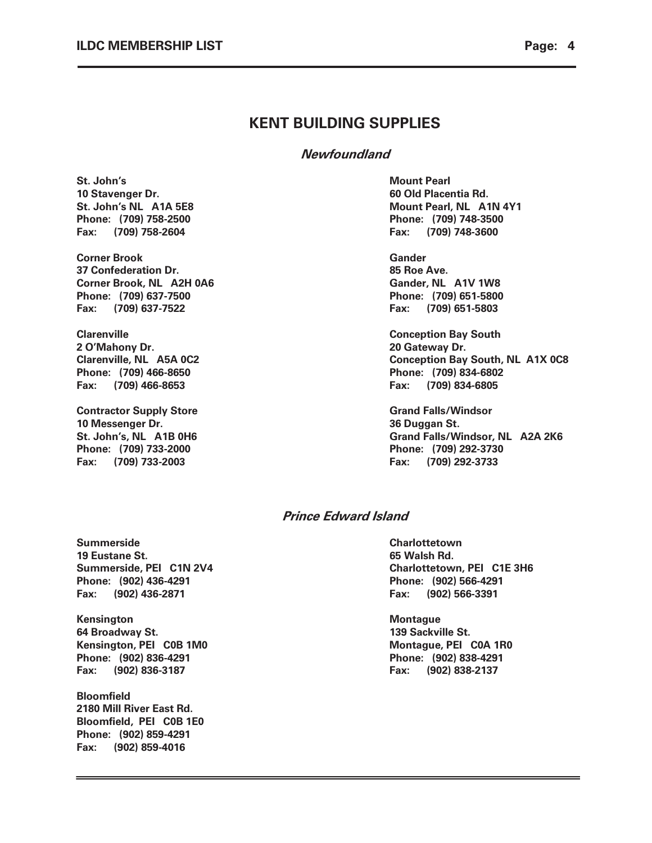Newfoundland

St. John's Nount Pearl (1999) 2008 12:00 12:00 Mount Pearl (1999) 2009 12:00 12:00 12:00 12:00 12:00 12:00 12:00 12:00 12:00 12:00 12:00 12:00 12:00 12:00 12:00 12:00 12:00 12:00 12:00 12:00 12:00 12:00 12:00 12:00 12:00 1 10 Stavenger Dr. **60 Old Placentia Rd.** 60 Old Placentia Rd. Phone: (709) 758-2500 Phone: (709) 748-3500 Fax: (709) 758-2604 Fax: (709) 748-3600

Corner Brook Gander 37 Confederation Dr. 685 Roe Ave. Corner Brook, NL A2H 0A6 Gander, NL A1V 1W8 Phone: (709) 637-7500 Phone: (709) 651-5800 Fax: (709) 637-7522 Fax: (709) 651-5803

**Clarenville** Clarenville Clarenville Conception Bay South Conception Bay South Conception Bay South Conception Bay South Conception Bay South Conception Bay South Conception Bay South Conception Bay South Conception Bay S 2 O'Mahony Dr. 20 Gateway Dr. Phone: (709) 466-8650 Phone: (709) 834-6802 Fax: (709) 466-8653 Fax: (709) 834-6805

**Contractor Supply Store Contractor Supply Store Grand Falls/Windsor** 10 Messenger Dr. 36 Duggan St. Phone: (709) 733-2000 Phone: (709) 292-3730 Fax: (709) 733-2003 Fax: (709) 292-3733

# St. John's NL 81A 5E8 Mount Pearl, NL 81N 4Y1

Clarenville, NL A5A 0C2 Conception Bay South, NL A1X 0C8

St. John's, NL 81B 0H6 Grand Falls/Windsor, NL 82A 2K6

### Prince Edward Island

Summerside Charlottetown 19 Eustane St. 65 Walsh Rd. Phone: (902) 436-4291 Phone: (902) 566-4291 Fax: (902) 436-2871 Fax: (902) 566-3391

Kensington Montague 64 Broadway St. **139 Sackville St.** 139 Sackville St. Kensington, PEI COB 1M0 Montague, PEI COA 1R0 Phone: (902) 836-4291 Phone: (902) 838-4291 Fax: (902) 836-3187 Fax: (902) 838-2137

Bloomfield 2180 Mill River East Rd. Bloomfield, PEI C0B 1E0 Phone: (902) 859-4291 Fax: (902) 859-4016

Summerside, PEI C1N 2V4 Charlottetown, PEI C1E 3H6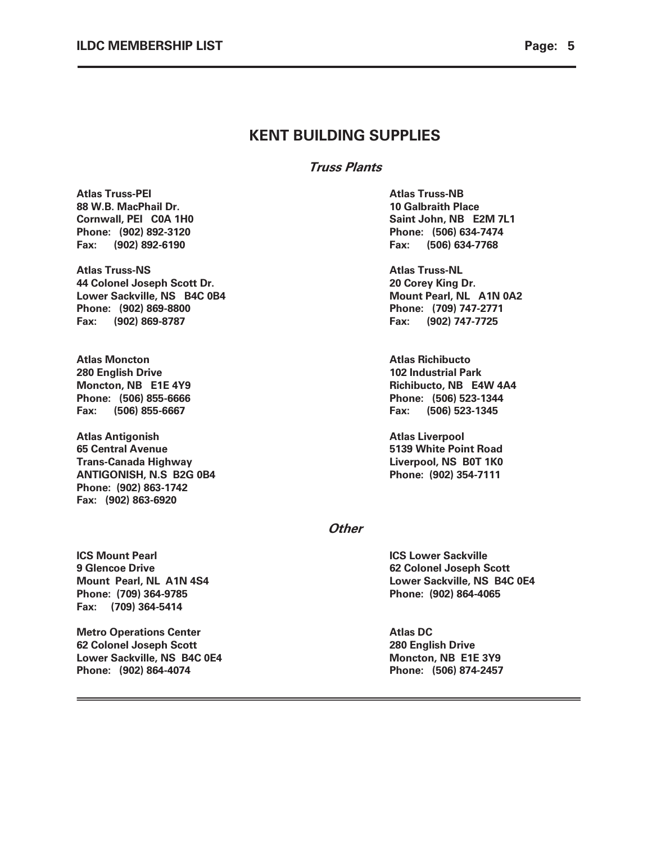Truss Plants

Atlas Truss-PEI **Atlas Truss-NB** 88 W.B. MacPhail Dr. 10 Galbraith Place Phone: (902) 892-3120 Phone: (506) 634-7474 Fax: (902) 892-6190 Fax: (506) 634-7768

Atlas Truss-NS Atlas Truss-NL 44 Colonel Joseph Scott Dr. 20 Corey King Dr. Lower Sackville, NS B4C 0B4 Mount Pearl, NL A1N 0A2 Phone: (902) 869-8800 **Phone: (709) 747-2771** Fax: (902) 869-8787 Fax: (902) 747-7725

Atlas Moncton Atlas Richibucto 280 English Drive 102 Industrial Park Fax: (506) 855-6667 Fax: (506) 523-1345

Atlas Antigonish Atlas Liverpool 65 Central Avenue 5139 White Point Road Trans-Canada Highway Liverpool, NS B0T 1K0 ANTIGONISH, N.S B2G 0B4 Phone: (902) 354-7111 Phone: (902) 863-1742 Fax: (902) 863-6920

Cornwall, PEI C0A 1H0 Saint John, NB E2M 7L1

Moncton, NB E1E 4Y9 **Richibucto**, NB E4W 4A4 Phone: (506) 855-6666 Phone: (506) 523-1344

#### **Other**

**ICS Mount Pearl ICS Lower Sackville** 9 Glencoe Drive **62 Colonel Joseph Scott** Phone: (709) 364-9785 Phone: (902) 864-4065 Fax: (709) 364-5414

Metro Operations Center **Atlas DC** 62 Colonel Joseph Scott 280 English Drive Lower Sackville, NS B4C 0E4 Moncton, NB E1E 3Y9 Phone: (902) 864-4074 Phone: (506) 874-2457

Mount Pearl, NL A1N 4S4 Lower Sackville, NS B4C 0E4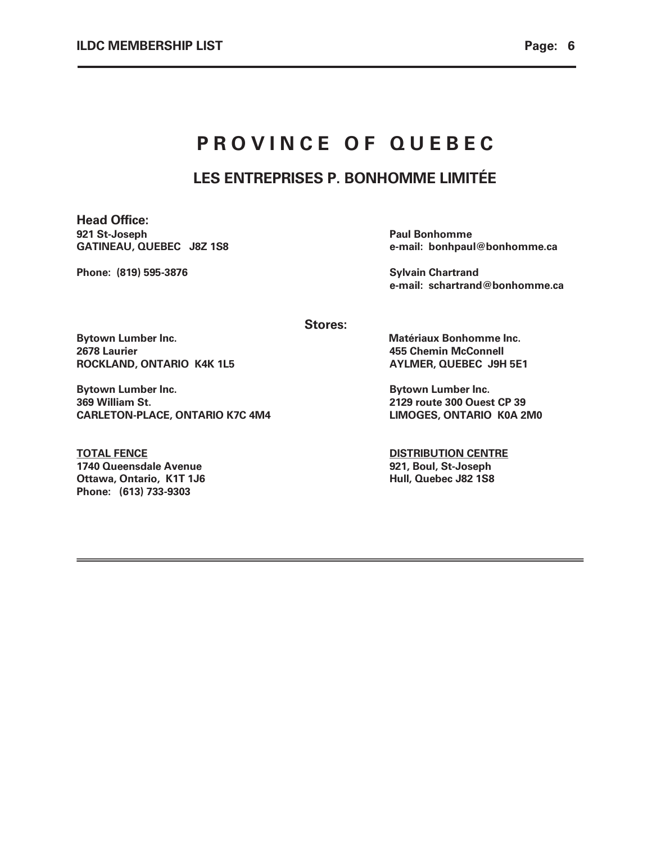# PROVINCE OF QUEBEC

# LES ENTREPRISES P. BONHOMME LIMITÉE

Head Office: 921 St-Joseph Paul Bonhomme<br>
GATINEAU, QUEBEC 382 1S8 e-mail: bonhpaul

Phone: (819) 595-3876 Sylvain Chartrand

e-mail: bonhpaul@bonhomme.ca

e-mail: schartrand@bonhomme.ca

Stores:

Bytown Lumber Inc. **Matériaux Bonhomme Inc.** All the Matériaux Bonhomme Inc. 2678 Laurier 455 Chemin McConnell ROCKLAND, ONTARIO K4K 1L5 AYLMER, QUEBEC J9H 5E1

Bytown Lumber Inc. **Bytown Lumber Inc. Bytown Lumber Inc.** 369 William St. 2129 route 300 Ouest CP 39 CARLETON-PLACE, ONTARIO K7C 4M4 LIMOGES, ONTARIO K0A 2M0

TOTAL FENCE **EXECUTES DISTRIBUTION CENTRE** 1740 Queensdale Avenue 1740 Queensdale Avenue 1740 Queensdale Avenue Ottawa, Ontario, K1T 1J6 **Hull, Quebec J82 1S8** Phone: (613) 733-9303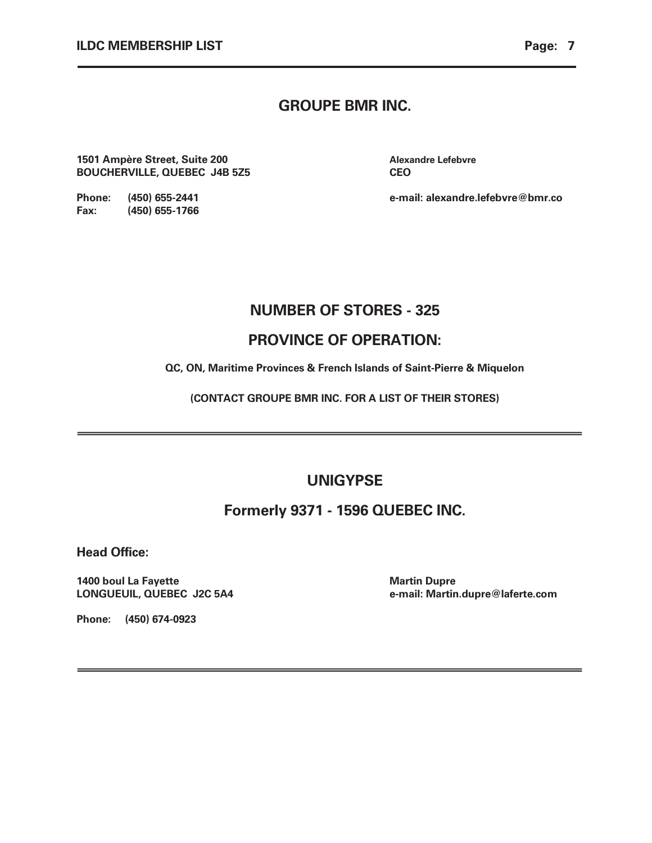### GROUPE BMR INC.

1501 Ampère Street, Suite 200 **Alexandre Lefebvre** Alexandre Lefebvre BOUCHERVILLE, QUEBEC J4B 5Z5 CEO

Phone: (450) 655-2441 e-mail: alexandre.lefebvre@bmr.co

### NUMBER OF STORES - 325

### PROVINCE OF OPERATION:

QC, ON, Maritime Provinces & French Islands of Saint-Pierre & Miquelon

(CONTACT GROUPE BMR INC. FOR A LIST OF THEIR STORES)

### UNIGYPSE

### Formerly 9371 - 1596 QUEBEC INC.

Head Office:

1400 boul La Fayette **Martin Dupre** Martin Dupre

LONGUEUIL, QUEBEC J2C 5A4 e-mail: Martin.dupre@laferte.com

Phone: (450) 674-0923

Fax: (450) 655-1766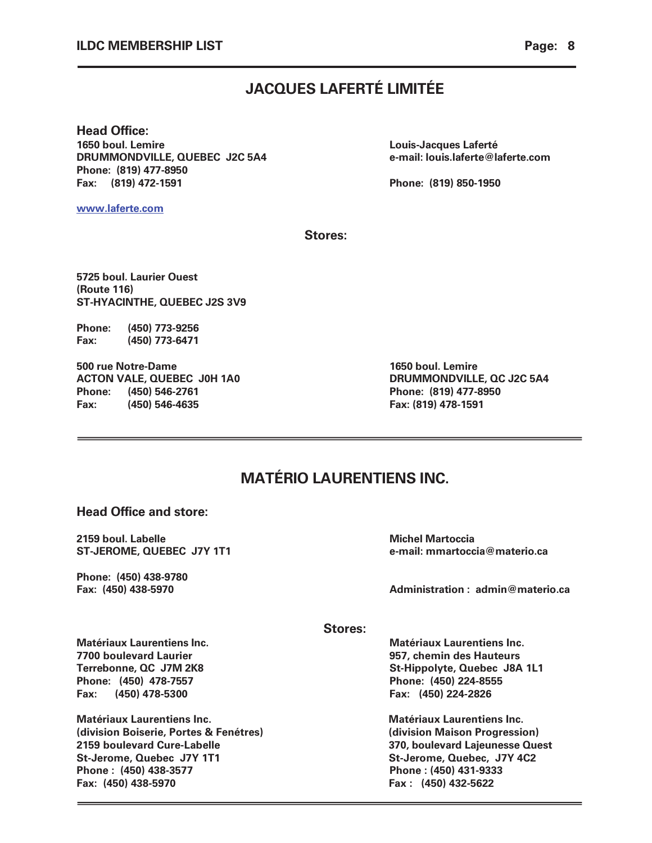# JACQUES LAFERTÉ LIMITÉE

Head Office: 1650 boul. Lemire Louis-Jacques Laferté DRUMMONDVILLE, QUEBEC J2C 5A4 e-mail: louis.laferte@laferte.com Phone: (819) 477-8950 Fax: (819) 472-1591 Phone: (819) 850-1950

www.laferte.com

Stores:

5725 boul. Laurier Ouest (Route 116) ST-HYACINTHE, QUEBEC J2S 3V9

Phone: (450) 773-9256 Fax: (450) 773-6471

500 rue Notre-Dame 1650 boul. Lemire ACTON VALE, QUEBEC J0H 1A0 DRUMMONDVILLE, QC J2C 5A4 Phone: (450) 546-2761 Phone: (819) 477-8950 Fax: (450) 546-4635 Fax: (819) 478-1591

# MATÉRIO LAURENTIENS INC.

### Head Office and store:

2159 boul. Labelle **Michel Martoccia** Michel Martoccia

Phone: (450) 438-9780

ST-JEROME, QUEBEC J7Y 1T1 e-mail: mmartoccia@materio.ca

Fax: (450) 438-5970 Administration : admin@materio.ca

Stores:

7700 boulevard Laurier 957, chemin des Hauteurs Phone: (450) 478-7557 Phone: (450) 224-8555 Fax: (450) 478-5300 Fax: (450) 224-2826

Ī

Matériaux Laurentiens Inc. Matériaux Laurentiens Inc. (division Boiserie, Portes & Fenétres) (division Maison Progression) 2159 boulevard Cure-Labelle 370, boulevard Lajeunesse Quest St-Jerome, Quebec J7Y 1T1 St-Jerome, Quebec, J7Y 4C2 Phone : (450) 438-3577 Phone : (450) 431-9333 Fax: (450) 438-5970 Fax : (450) 432-5622

Matériaux Laurentiens Inc. Matériaux Laurentiens Inc. Terrebonne, QC J7M 2K8 St-Hippolyte, Quebec J8A 1L1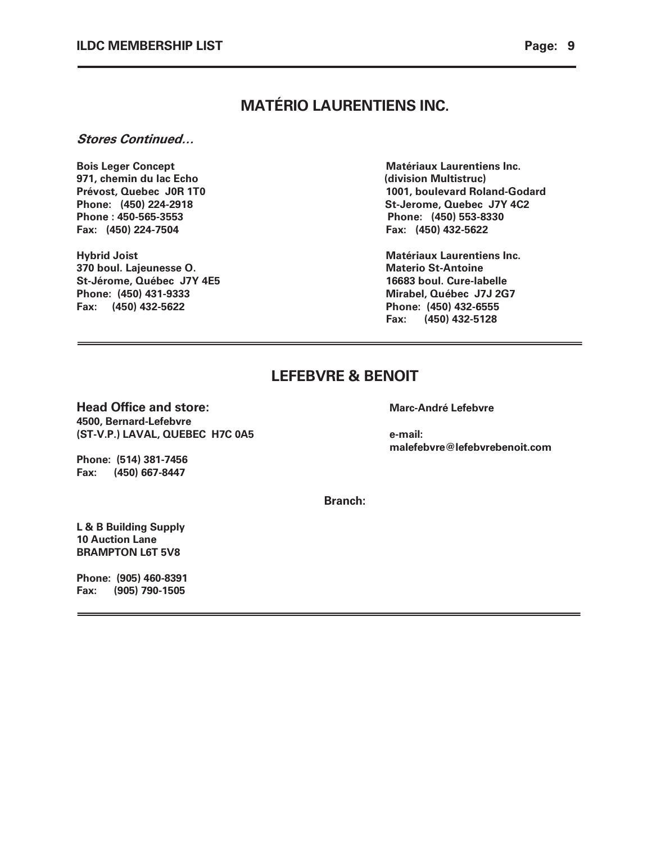# MATÉRIO LAURENTIENS INC.

#### Stores Continued…

Bois Leger Concept **Matériaux Laurentiens Inc.** 971, chemin du lac Echo (division Multistruc) Phone : 450-565-3553 Phone: (450) 553-8330 Fax: (450) 224-7504 Fax: (450) 432-5622

370 boul. Lajeunesse O. Materio St-Antoine St-Jérome, Québec J7Y 4E5 16683 boul. Cure-labelle Phone: (450) 431-9333 Mirabel, Québec J7J 2G7 Fax: (450) 432-5622 Phone: (450) 432-6555

Prévost, Quebec J0R 1T0 1001, boulevard Roland-Godard Phone: (450) 224-2918 St-Jerome, Quebec J7Y 4C2

Hybrid Joist **Matériaux Laurentiens Inc.** Matériaux Laurentiens Inc. Fax: (450) 432-5128

# LEFEBVRE & BENOIT

### Head Office and store: Marc-André Lefebvre

4500, Bernard-Lefebvre (ST-V.P.) LAVAL, QUEBEC H7C 0A5 e-mail:

malefebvre@lefebvrebenoit.com

Phone: (514) 381-7456 Fax: (450) 667-8447

Branch:

L & B Building Supply 10 Auction Lane BRAMPTON L6T 5V8

Phone: (905) 460-8391 Fax: (905) 790-1505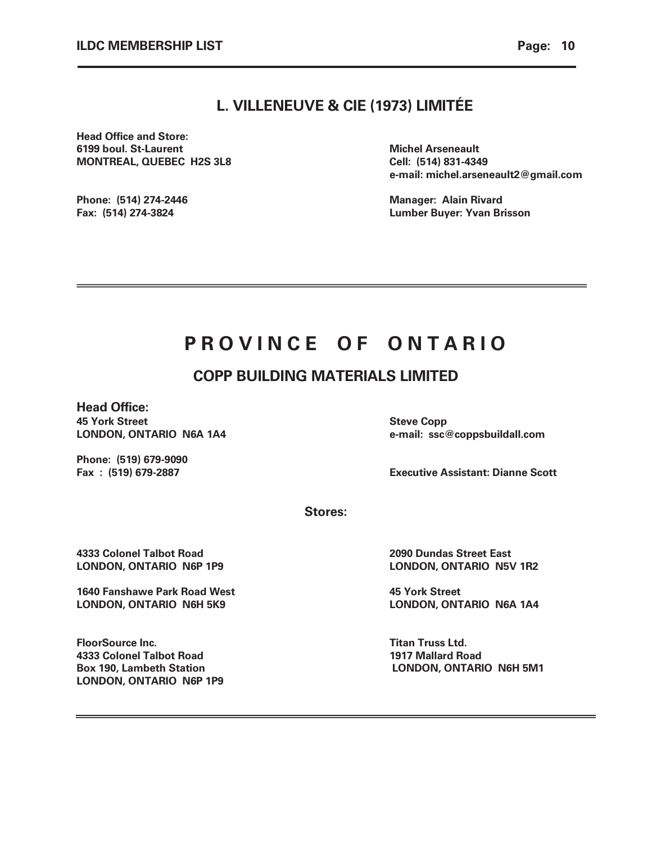### L. VILLENEUVE & CIE (1973) LIMITÉE

Head Office and Store: 6199 boul. St-Laurent **Michel Arseneault** Michel Arseneault MONTREAL, QUEBEC H2S 3L8 Cell: (514) 831-4349

e-mail: michel.arseneault2@gmail.com

Phone: (514) 274-2446 **Manager: Alain Rivard** Manager: Alain Rivard Fax: (514) 274-3824 Lumber Buyer: Yvan Brisson

# PROVINCE OF ONTARIO

# COPP BUILDING MATERIALS LIMITED

Head Office: 45 York Street Steve Copp 345 York Steve Copp

LONDON, ONTARIO N6A 1A4 e-mail: ssc@coppsbuildall.com

Phone: (519) 679-9090

Fax : (519) 679-2887 Executive Assistant: Dianne Scott

Stores:

4333 Colonel Talbot Road 2090 Dundas Street East

1640 Fanshawe Park Road West 1640 Fanshawe Park Road West LONDON, ONTARIO N6H 5K9 LONDON, ONTARIO N6A 1A4

**FloorSource Inc.** The Contract of the Contract of Truss Ltd. The Truss Ltd. 4333 Colonel Talbot Road 1917 Mallard Road LONDON, ONTARIO N6P 1P9

LONDON, ONTARIO N6P 1P9 LONDON, ONTARIO N5V 1R2

Box 190, Lambeth Station **LONDON, ONTARIO N6H 5M1**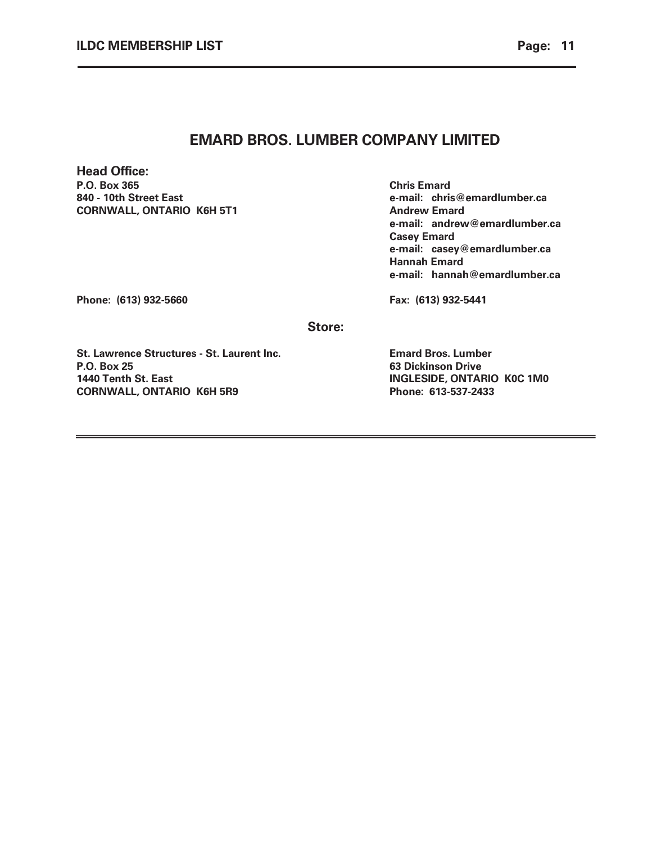### EMARD BROS. LUMBER COMPANY LIMITED

Head Office: P.O. Box 365 Chris Emard 840 - 10th Street East e-mail: chris@emardlumber.ca CORNWALL, ONTARIO K6H 5T1 Andrew Emard

 e-mail: andrew@emardlumber.ca Casey Emard e-mail: casey@emardlumber.ca Hannah Emard e-mail: hannah@emardlumber.ca

Phone: (613) 932-5660 **Fax: (613) 932-5441** 

Store:

St. Lawrence Structures - St. Laurent Inc. Emard Bros. Lumber P.O. Box 25 63 Dickinson Drive 1440 Tenth St. East INGLESIDE, ONTARIO K0C 1M0 CORNWALL, ONTARIO K6H 5R9 Phone: 613-537-2433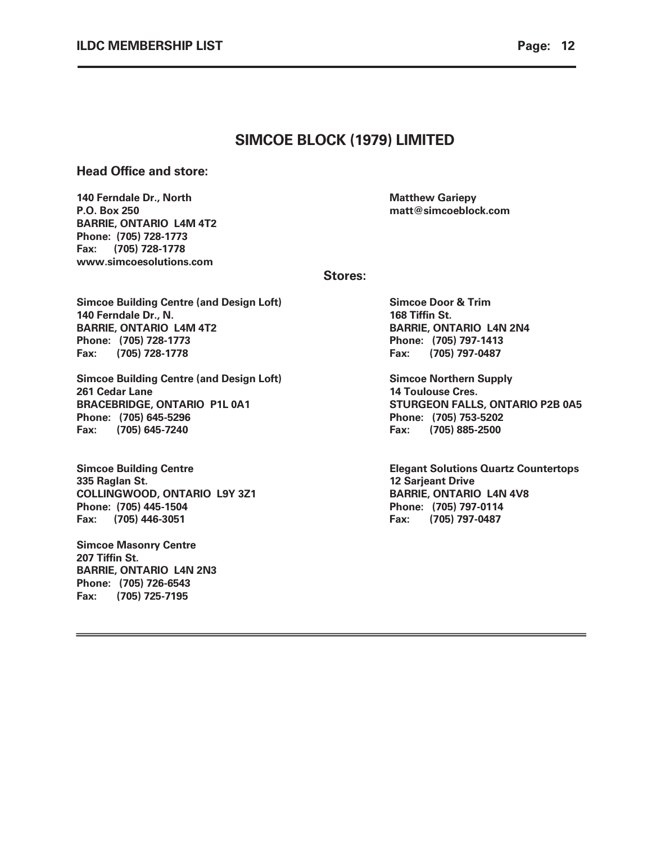### SIMCOE BLOCK (1979) LIMITED

### Head Office and store:

140 Ferndale Dr., North **Matthew Gariepy Matthew Gariepy** P.O. Box 250 matt@simcoeblock.com BARRIE, ONTARIO L4M 4T2 Phone: (705) 728-1773 Fax: (705) 728-1778 www.simcoesolutions.com

Stores:

Simcoe Building Centre (and Design Loft) Simcoe Door & Trim 140 Ferndale Dr., N. 168 Tiffin St. BARRIE, ONTARIO L4M 4T2 BARRIE, ONTARIO L4N 2N4 Phone: (705) 728-1773 Phone: (705) 797-1413 Fax: (705) 728-1778 Fax: (705) 797-0487

Simcoe Building Centre (and Design Loft) Simcoe Northern Supply 261 Cedar Lane 14 Toulouse Cres. BRACEBRIDGE, ONTARIO P1L 0A1 STURGEON FALLS, ONTARIO P2B 0A5 Phone: (705) 645-5296 Phone: (705) 753-5202 Fax: (705) 645-7240 Fax: (705) 885-2500

335 Raglan St. 12 Sarjeant Drive COLLINGWOOD, ONTARIO L9Y 3Z1 BARRIE, ONTARIO L4N 4V8 Phone: (705) 445-1504 Phone: (705) 797-0114 Fax: (705) 446-3051 Fax: (705) 797-0487

Simcoe Masonry Centre 207 Tiffin St. BARRIE, ONTARIO L4N 2N3 Phone: (705) 726-6543 Fax: (705) 725-7195

Simcoe Building Centre **Elegant Solutions Quartz Countertops**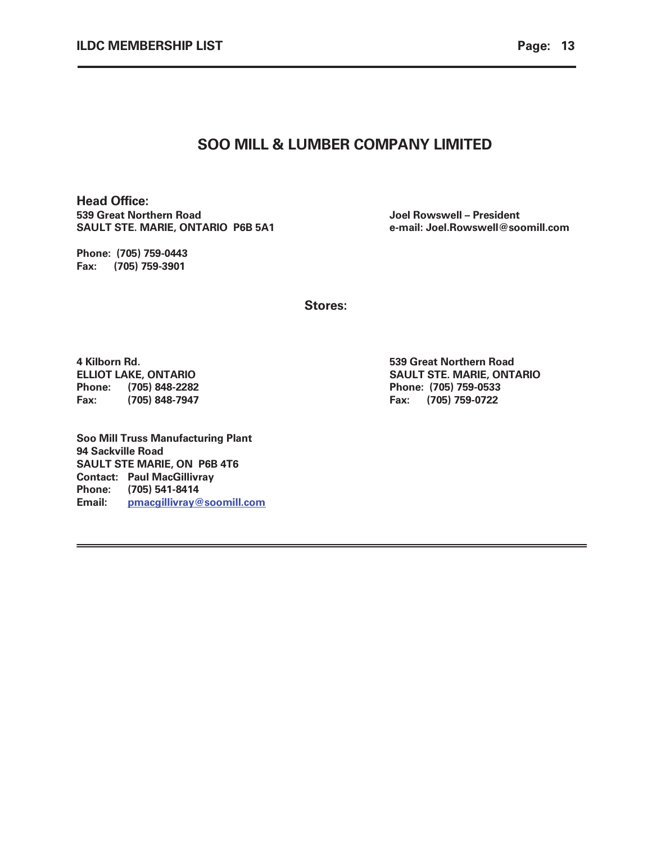### SOO MILL & LUMBER COMPANY LIMITED

Head Office: 539 Great Northern Road Joel Rowswell – President SAULT STE. MARIE, ONTARIO P6B 5A1 e-mail: Joel.Rowswell@soomill.com

Phone: (705) 759-0443 Fax: (705) 759-3901

Stores:

4 Kilborn Rd. 539 Great Northern Road Phone: (705) 848-2282 Phone: (705) 759-0533 Fax: (705) 848-7947 Fax: (705) 759-0722

Soo Mill Truss Manufacturing Plant 94 Sackville Road SAULT STE MARIE, ON P6B 4T6 Contact: Paul MacGillivray Phone: (705) 541-8414 Email: pmacgillivray@soomill.com

ELLIOT LAKE, ONTARIO SAULT STE. MARIE, ONTARIO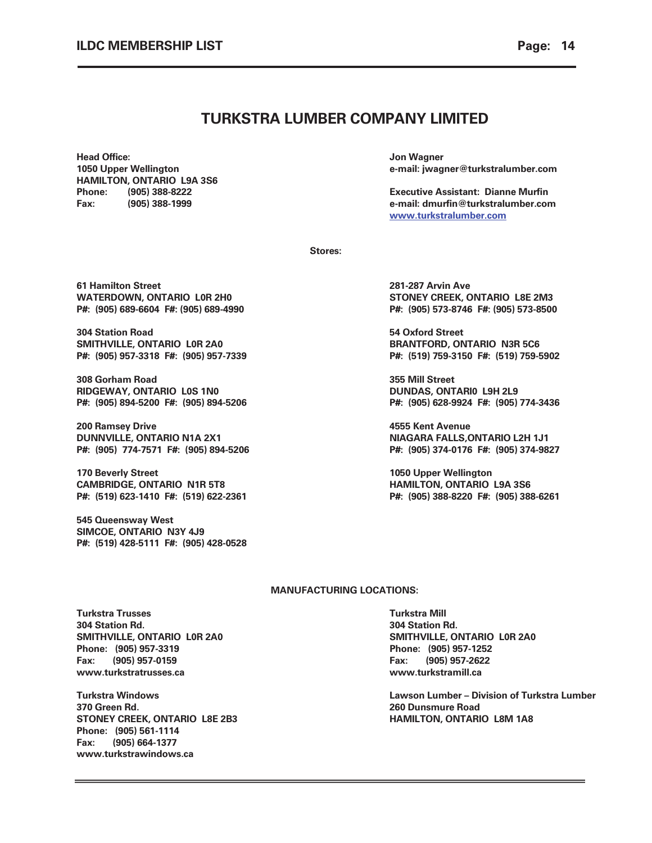### TURKSTRA LUMBER COMPANY LIMITED

Head Office: Jon Wagner HAMILTON, ONTARIO L9A 3S6

1050 Upper Wellington e-mail: jwagner@turkstralumber.com

Phone: (905) 388-8222 Executive Assistant: Dianne Murfin Fax: (905) 388-1999 e-mail: dmurfin@turkstralumber.com www.turkstralumber.com

Stores:

61 Hamilton Street 281-287 Arvin Ave

304 Station Road 54 Oxford Street SMITHVILLE, ONTARIO LOR 2A0 BRANTFORD, ONTARIO N3R 5C6

308 Gorham Road 355 Mill Street RIDGEWAY, ONTARIO L0S 1N0 DUNDAS, ONTARI0 L9H 2L9

200 Ramsey Drive **1996** March 200 Ramsey Drive **1996** March 200 March 200 Ramsey Drive 200 March 200 March 200 March 200 March 200 March 200 March 200 March 200 March 200 March 200 March 200 March 200 March 200 March 200 M DUNNVILLE, ONTARIO N1A 2X1 NIAGARA FALLS,ONTARIO L2H 1J1

170 Beverly Street **1050 Upper Wellington** CAMBRIDGE, ONTARIO N1R 5T8 **HAMILTON, ONTARIO L9A 3S6** 

545 Queensway West SIMCOE, ONTARIO N3Y 4J9 P#: (519) 428-5111 F#: (905) 428-0528

WATERDOWN, ONTARIO L0R 2H0 STONEY CREEK, ONTARIO L8E 2M3 P#: (905) 689-6604 F#: (905) 689-4990 P#: (905) 573-8746 F#: (905) 573-8500

P#: (905) 957-3318 F#: (905) 957-7339 P#: (519) 759-3150 F#: (519) 759-5902

P#: (905) 894-5200 F#: (905) 894-5206 P#: (905) 628-9924 F#: (905) 774-3436

P#: (905) 774-7571 F#: (905) 894-5206 P#: (905) 374-0176 F#: (905) 374-9827

P#: (519) 623-1410 F#: (519) 622-2361 P#: (905) 388-8220 F#: (905) 388-6261

#### MANUFACTURING LOCATIONS:

**Turkstra Trusses Turkstra Mill** 304 Station Rd. 304 Station Rd. SMITHVILLE, ONTARIO L0R 2A0 SMITHVILLE, ONTARIO L0R 2A0 Phone: (905) 957-3319 Phone: (905) 957-1252 Fax: (905) 957-0159 Fax: (905) 957-2622 www.turkstratrusses.ca www.turkstramill.ca

370 Green Rd. 260 Dunsmure Road STONEY CREEK, ONTARIO L8E 2B3 HAMILTON, ONTARIO L8M 1A8 Phone: (905) 561-1114 Fax: (905) 664-1377 www.turkstrawindows.ca

Turkstra Windows Lawson Lumber – Division of Turkstra Lumber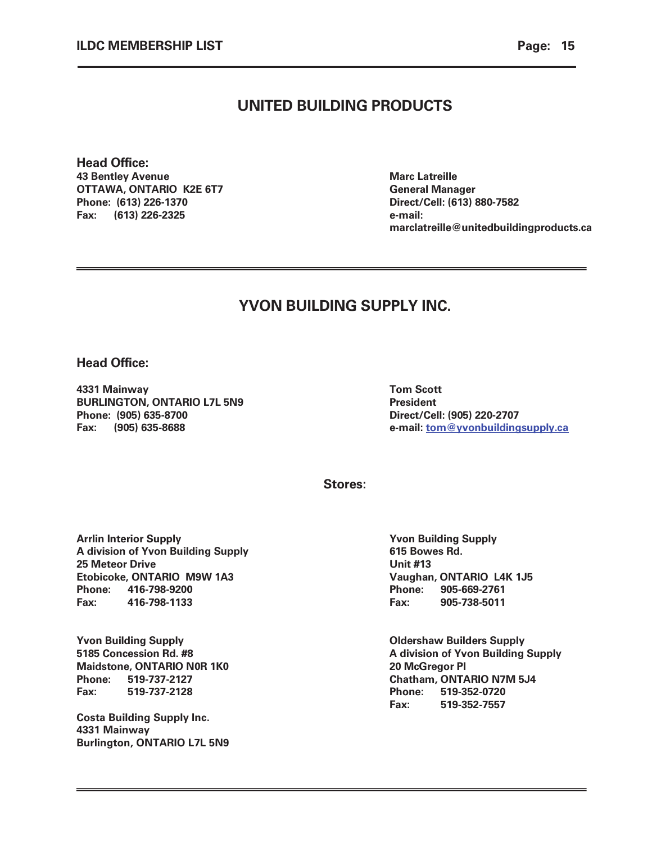### UNITED BUILDING PRODUCTS

Head Office: 43 Bentley Avenue **Marc Latreille** OTTAWA, ONTARIO K2E 6T7 General Manager Phone: (613) 226-1370 Direct/Cell: (613) 880-7582 Fax: (613) 226-2325 e-mail:

marclatreille@unitedbuildingproducts.ca

# YVON BUILDING SUPPLY INC.

Head Office:

4331 Mainway Tom Scott BURLINGTON, ONTARIO L7L 5N9 President Phone: (905) 635-8700 Direct/Cell: (905) 220-2707

Fax: (905) 635-8688 e-mail: tom@yvonbuildingsupply.ca

Stores:

Arrlin Interior Supply **The Contract of Supply Supply** Yvon Building Supply A division of Yvon Building Supply **615 Bowes Rd.** 25 Meteor Drive Unit #13 Etobicoke, ONTARIO M9W 1A3 Vaughan, ONTARIO L4K 1J5 Phone: 416-798-9200 Phone: 905-669-2761 Fax: 416-798-1133 Fax: 905-738-5011

Yvon Building Supply<br>
5185 Concession Rd. #8 (1994) STAR Supply<br>
A division of Yvon Building Maidstone, ONTARIO N0R 1K0 20 McGregor Pl Phone: 519-737-2127 Chatham, ONTARIO N7M 5J4 Fax: 519-737-2128 Phone: 519-352-0720

Costa Building Supply Inc. 4331 Mainway Burlington, ONTARIO L7L 5N9

A division of Yvon Building Supply Fax: 519-352-7557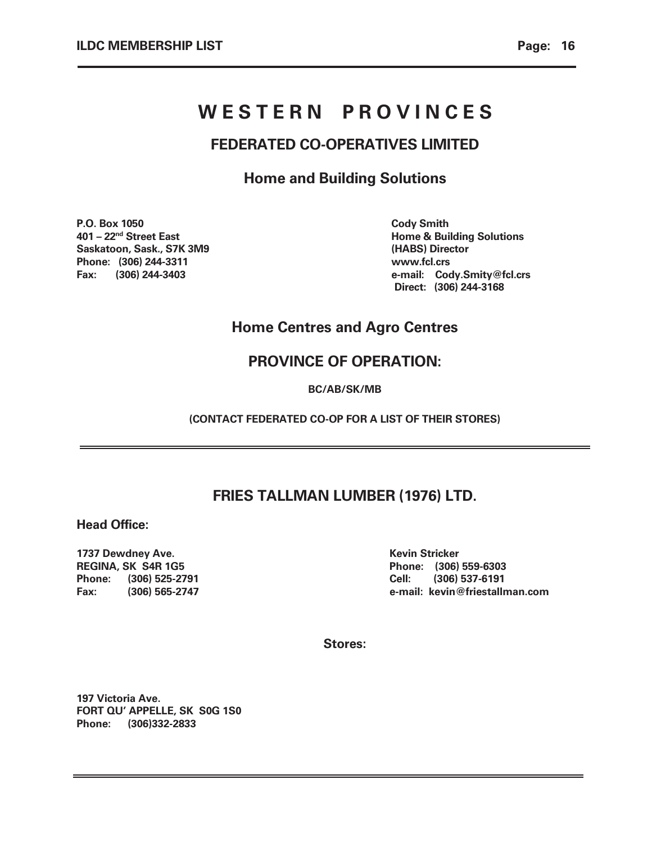# WESTERN PROVINCES

# FEDERATED CO-OPERATIVES LIMITED

Home and Building Solutions

P.O. Box 1050 Cody Smith Saskatoon, Sask., S7K 3M9 (HABS) Director Phone: (306) 244-3311 www.fcl.crs

401 – 22<sup>nd</sup> Street East **Home & Building Solutions** Fax: (306) 244-3403 e-mail: Cody.Smity@fcl.crs Direct: (306) 244-3168

# Home Centres and Agro Centres

# PROVINCE OF OPERATION:

BC/AB/SK/MB

(CONTACT FEDERATED CO-OP FOR A LIST OF THEIR STORES)

# FRIES TALLMAN LUMBER (1976) LTD.

Head Office:

1737 Dewdney Ave. Kevin Stricker New York 1990 and the Kevin Stricker REGINA, SK S4R 1G5 Phone: (306) 559-6303 Phone: (306) 525-2791 Cell: (306) 537-6191

Fax: (306) 565-2747 e-mail: kevin@friestallman.com

Stores:

197 Victoria Ave. FORT QU' APPELLE, SK S0G 1S0 Phone: (306)332-2833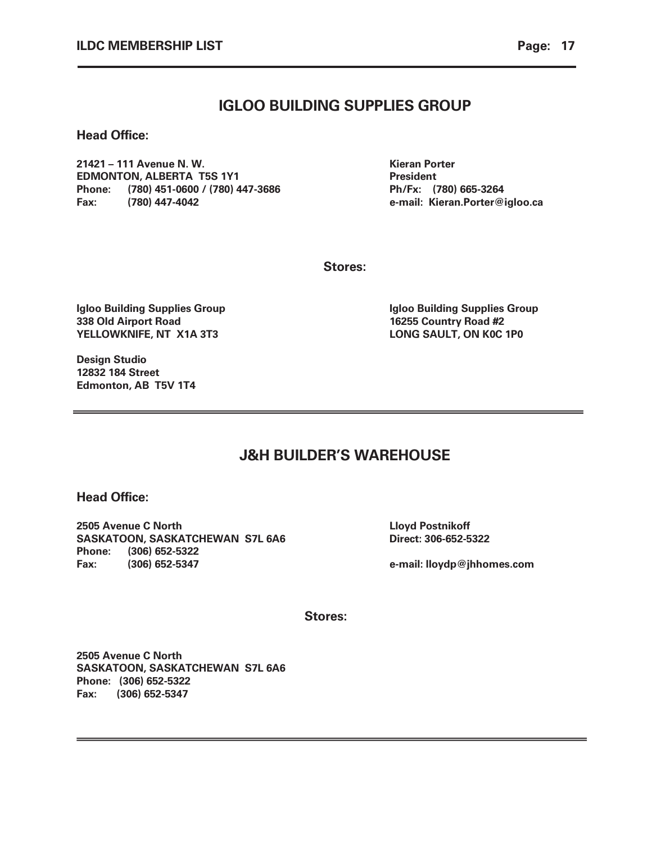Head Office:

21421 – 111 Avenue N. W. Kieran Porter EDMONTON, ALBERTA T5S 1Y1 President Phone: (780) 451-0600 / (780) 447-3686 Ph/Fx: (780) 665-3264 Fax: (780) 447-4042 e-mail: Kieran.Porter@igloo.ca

Stores:

Igloo Building Supplies Group **Igloo Building Supplies Group** 338 Old Airport Road 16255 Country Road #2 YELLOWKNIFE, NT X1A 3T3 **LONG SAULT, ON K0C 1P0** 

Design Studio 12832 184 Street Edmonton, AB T5V 1T4

J&H BUILDER'S WAREHOUSE

Head Office:

2505 Avenue C North Lloyd Postnikoff SASKATOON, SASKATCHEWAN S7L 6A6 Direct: 306-652-5322 Phone: (306) 652-5322 Fax: (306) 652-5347 e-mail: lloydp@jhhomes.com

Stores:

2505 Avenue C North SASKATOON, SASKATCHEWAN S7L 6A6 Phone: (306) 652-5322 Fax: (306) 652-5347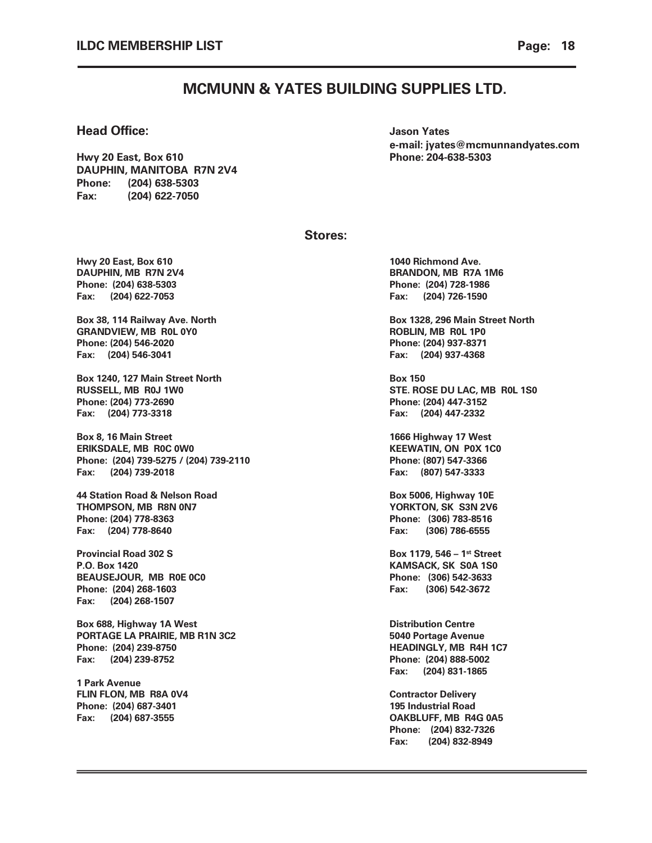### MCMUNN & YATES BUILDING SUPPLIES LTD.

#### **Head Office:**  $\qquad \qquad$  Jason Yates

Hwy 20 East, Box 610 Phone: 204-638-5303 DAUPHIN, MANITOBA R7N 2V4 Phone: (204) 638-5303 Fax: (204) 622-7050

e-mail: jyates@mcmunnandyates.com

#### Stores:

Hwy 20 East, Box 610 **1040** Richmond Ave. Phone: (204) 638-5303 Phone: (204) 728-1986 Fax: (204) 622-7053 Fax: (204) 726-1590

Box 38, 114 Railway Ave. North **Box 1328, 296 Main Street North** Box 1328, 296 Main Street North GRANDVIEW, MB ROL 0Y0 **ROBLIN, MB ROL 1P0** Phone: (204) 546-2020 Phone: (204) 937-8371 Fax: (204) 546-3041 Fax: (204) 937-4368

Box 1240, 127 Main Street North Box 150 Phone: (204) 773-2690 Phone: (204) 447-3152 Fax: (204) 773-3318 Fax: (204) 447-2332

Box 8, 16 Main Street 1666 Highway 17 West ERIKSDALE, MB ROC 0W0 KEEWATIN, ON POX 1CO Phone: (204) 739-5275 / (204) 739-2110 Phone: (807) 547-3366 Fax: (204) 739-2018 Fax: (807) 547-3333

44 Station Road & Nelson Road **Box 5006, Highway 10E** THOMPSON, MB R8N 0N7 YORKTON, SK S3N 2V6 Phone: (204) 778-8363 Phone: (306) 783-8516 Fax: (204) 778-8640 Fax: (306) 786-6555

Provincial Road 302 S Box 1179, 546 – 1st Street P.O. Box 1420 KAMSACK, SK S0A 1S0 BEAUSEJOUR, MB R0E 0C0 Phone: (306) 542-3633 Phone: (204) 268-1603 **Fax: (306) 542-3672** Fax: (204) 268-1507

Box 688, Highway 1A West **Distribution Centre** PORTAGE LA PRAIRIE, MB R1N 3C2 5040 Portage Avenue Phone: (204) 239-8750 **HEADINGLY, MB R4H 1C7** Fax: (204) 239-8752 Phone: (204) 888-5002

1 Park Avenue FLIN FLON, MB R8A 0V4 Contractor Delivery Phone: (204) 687-3401 195 Industrial Road

DAUPHIN, MB R7N 2V4 BRANDON, MB R7A 1M6

RUSSELL, MB R0J 1W0 STE. ROSE DU LAC, MB R0L 1S0

Fax: (204) 831-1865

Fax: (204) 687-3555 OAKBLUFF, MB R4G 0A5 Phone: (204) 832-7326 Fax: (204) 832-8949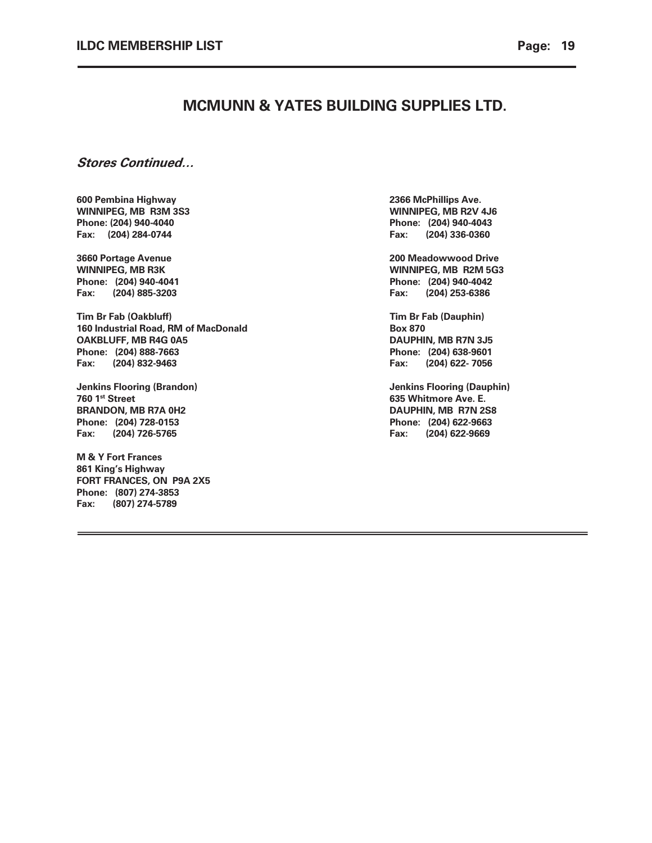### MCMUNN & YATES BUILDING SUPPLIES LTD.

### Stores Continued…

600 Pembina Highway 2366 McPhillips Ave. WINNIPEG, MB R3M 3S3 WINNIPEG, MB R2V 4J6 Phone: (204) 940-4040 Phone: (204) 940-4043 Fax: (204) 284-0744 Fax: (204) 336-0360

Fax: (204) 885-3203 Fax: (204) 253-6386

Tim Br Fab (Oakbluff) Tim Br Fab (Dauphin) 160 Industrial Road, RM of MacDonald Box 870 OAKBLUFF, MB R4G 0A5 DAUPHIN, MB R7N 3J5 Phone: (204) 888-7663 Phone: (204) 638-9601 Fax: (204) 832-9463 Fax: (204) 622- 7056

**760 1st Street 635 Whitmore Ave. E.** BRANDON, MB R7A 0H2 DAUPHIN, MB R7N 2S8 Phone: (204) 728-0153 Phone: (204) 622-9663 Fax: (204) 726-5765 Fax: (204) 622-9669

M & Y Fort Frances 861 King's Highway FORT FRANCES, ON P9A 2X5 Phone: (807) 274-3853 Fax: (807) 274-5789

3660 Portage Avenue 200 Meadowwood Drive WINNIPEG, MB R3K WINNIPEG, MB R2M 5G3 Phone: (204) 940-4041 Phone: (204) 940-4042

Jenkins Flooring (Brandon) Jenkins Flooring (Dauphin)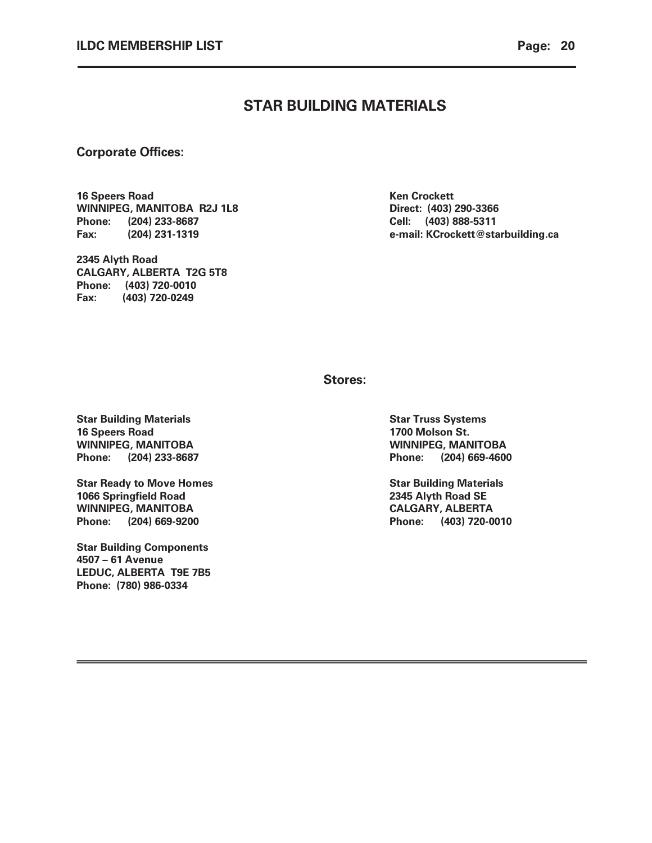### STAR BUILDING MATERIALS

### Corporate Offices:

16 Speers Road Ken Crockett WINNIPEG, MANITOBA R2J 1L8 Direct: (403) 290-3366 Phone: (204) 233-8687 Cell: (403) 888-5311

2345 Alyth Road CALGARY, ALBERTA T2G 5T8 Phone: (403) 720-0010 Fax: (403) 720-0249

Fax: (204) 231-1319 e-mail: KCrockett@starbuilding.ca

Stores:

Star Building Materials Star Truss Systems Star Truss Systems 16 Speers Road 1700 Molson St. WINNIPEG, MANITOBA WINNIPEG, MANITOBA Phone: (204) 233-8687 Phone: (204) 669-4600

Star Ready to Move Homes Star Building Materials Star Building Materials 1066 Springfield Road 2345 Alyth Road SE WINNIPEG, MANITOBA CALGARY, ALBERTA Phone: (204) 669-9200 Phone: (403) 720-0010

Star Building Components 4507 – 61 Avenue LEDUC, ALBERTA T9E 7B5 Phone: (780) 986-0334